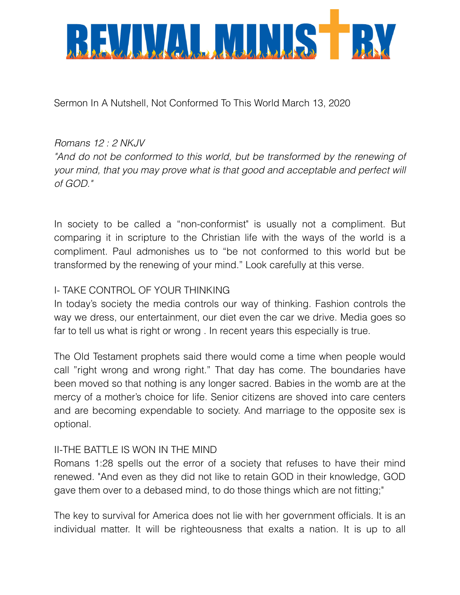

Sermon In A Nutshell, Not Conformed To This World March 13, 2020

## *Romans 12 : 2 NKJV*

"And do not be conformed to this world, but be transformed by the renewing of *your mind, that you may prove what is that good and acceptable and perfect will of GOD."* 

In society to be called a "non-conformist" is usually not a compliment. But comparing it in scripture to the Christian life with the ways of the world is a compliment. Paul admonishes us to "be not conformed to this world but be transformed by the renewing of your mind." Look carefully at this verse.

## I- TAKE CONTROL OF YOUR THINKING

In today's society the media controls our way of thinking. Fashion controls the way we dress, our entertainment, our diet even the car we drive. Media goes so far to tell us what is right or wrong . In recent years this especially is true.

The Old Testament prophets said there would come a time when people would call "right wrong and wrong right." That day has come. The boundaries have been moved so that nothing is any longer sacred. Babies in the womb are at the mercy of a mother's choice for life. Senior citizens are shoved into care centers and are becoming expendable to society. And marriage to the opposite sex is optional.

## II-THE BATTLE IS WON IN THE MIND

Romans 1:28 spells out the error of a society that refuses to have their mind renewed. "And even as they did not like to retain GOD in their knowledge, GOD gave them over to a debased mind, to do those things which are not fitting;"

The key to survival for America does not lie with her government officials. It is an individual matter. It will be righteousness that exalts a nation. It is up to all